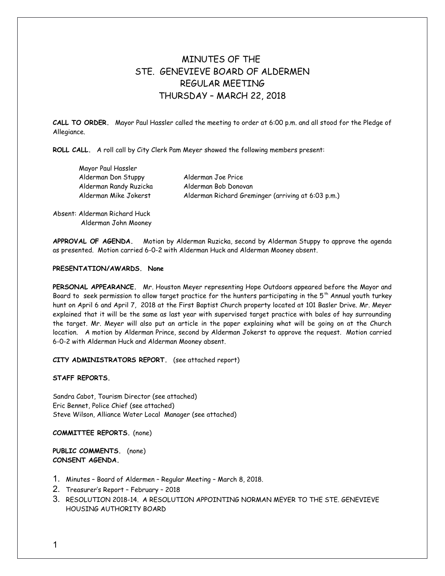## MINUTES OF THE STE. GENEVIEVE BOARD OF ALDERMEN REGULAR MEETING THURSDAY – MARCH 22, 2018

**CALL TO ORDER.** Mayor Paul Hassler called the meeting to order at 6:00 p.m. and all stood for the Pledge of Allegiance.

**ROLL CALL.** A roll call by City Clerk Pam Meyer showed the following members present:

Mayor Paul Hassler Alderman Don Stuppy Alderman Joe Price Alderman Randy Ruzicka Alderman Bob Donovan

Alderman Mike Jokerst Alderman Richard Greminger (arriving at 6:03 p.m.)

Absent: Alderman Richard Huck Alderman John Mooney

**APPROVAL OF AGENDA.** Motion by Alderman Ruzicka, second by Alderman Stuppy to approve the agenda as presented. Motion carried 6-0-2 with Alderman Huck and Alderman Mooney absent.

## **PRESENTATION/AWARDS. None**

**PERSONAL APPEARANCE.** Mr. Houston Meyer representing Hope Outdoors appeared before the Mayor and Board to seek permission to allow target practice for the hunters participating in the 5<sup>th</sup> Annual youth turkey hunt on April 6 and April 7, 2018 at the First Baptist Church property located at 101 Basler Drive. Mr. Meyer explained that it will be the same as last year with supervised target practice with bales of hay surrounding the target. Mr. Meyer will also put an article in the paper explaining what will be going on at the Church location. A motion by Alderman Prince, second by Alderman Jokerst to approve the request. Motion carried 6-0-2 with Alderman Huck and Alderman Mooney absent.

**CITY ADMINISTRATORS REPORT.** (see attached report)

**STAFF REPORTS.** 

Sandra Cabot, Tourism Director (see attached) Eric Bennet, Police Chief (see attached) Steve Wilson, Alliance Water Local Manager (see attached)

**COMMITTEE REPORTS.** (none)

**PUBLIC COMMENTS.** (none) **CONSENT AGENDA.** 

- 1. Minutes Board of Aldermen Regular Meeting March 8, 2018.
- 2. Treasurer's Report February 2018
- 3. RESOLUTION 2018-14. A RESOLUTION APPOINTING NORMAN MEYER TO THE STE. GENEVIEVE HOUSING AUTHORITY BOARD